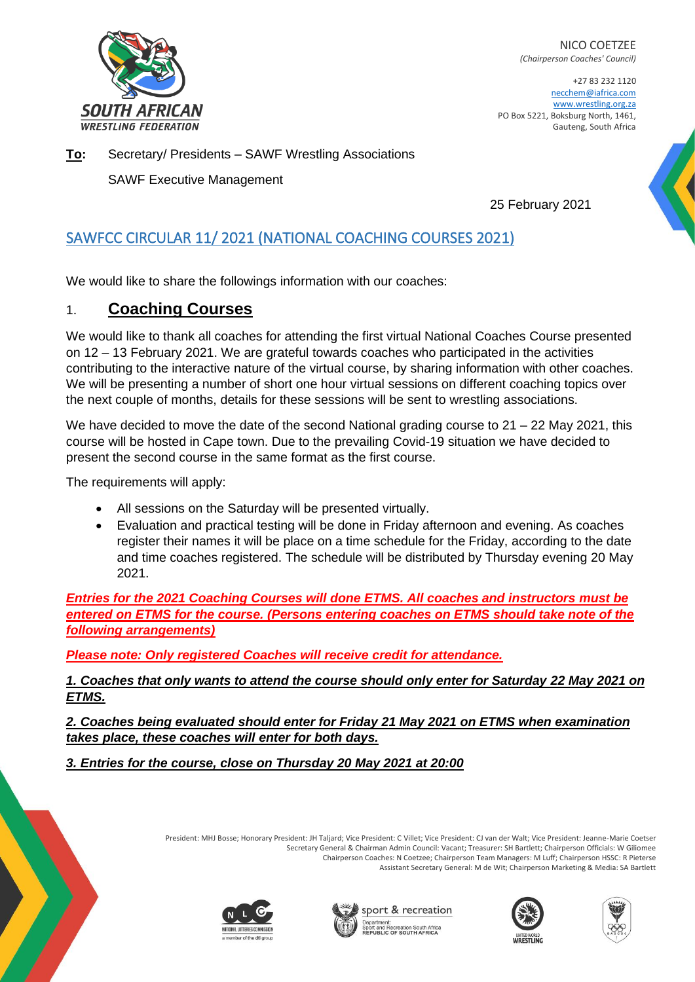

NICO COETZEE *(Chairperson Coaches' Council)*

+27 83 232 1120 necchem@iafrica.com www.wrestling.org.za PO Box 5221, Boksburg North, 1461, Gauteng, South Africa

**To:** Secretary/ Presidents – SAWF Wrestling Associations

SAWF Executive Management

25 February 2021

# SAWFCC CIRCULAR 11/ 2021 (NATIONAL COACHING COURSES 2021)

We would like to share the followings information with our coaches:

### 1. **Coaching Courses**

We would like to thank all coaches for attending the first virtual National Coaches Course presented on 12 – 13 February 2021. We are grateful towards coaches who participated in the activities contributing to the interactive nature of the virtual course, by sharing information with other coaches. We will be presenting a number of short one hour virtual sessions on different coaching topics over the next couple of months, details for these sessions will be sent to wrestling associations.

We have decided to move the date of the second National grading course to 21 – 22 May 2021, this course will be hosted in Cape town. Due to the prevailing Covid-19 situation we have decided to present the second course in the same format as the first course.

The requirements will apply:

- All sessions on the Saturday will be presented virtually.
- Evaluation and practical testing will be done in Friday afternoon and evening. As coaches register their names it will be place on a time schedule for the Friday, according to the date and time coaches registered. The schedule will be distributed by Thursday evening 20 May 2021.

*Entries for the 2021 Coaching Courses will done ETMS. All coaches and instructors must be entered on ETMS for the course. (Persons entering coaches on ETMS should take note of the following arrangements)* 

*Please note: Only registered Coaches will receive credit for attendance.* 

*1. Coaches that only wants to attend the course should only enter for Saturday 22 May 2021 on ETMS.* 

*2. Coaches being evaluated should enter for Friday 21 May 2021 on ETMS when examination takes place, these coaches will enter for both days.* 

*3. Entries for the course, close on Thursday 20 May 2021 at 20:00*

President: MHJ Bosse; Honorary President: JH Taljard; Vice President: C Villet; Vice President: CJ van der Walt; Vice President: Jeanne-Marie Coetser Secretary General & Chairman Admin Council: Vacant; Treasurer: SH Bartlett; Chairperson Officials: W Giliomee Chairperson Coaches: N Coetzee; Chairperson Team Managers: M Luff; Chairperson HSSC: R Pieterse Assistant Secretary General: M de Wit; Chairperson Marketing & Media: SA Bartlett









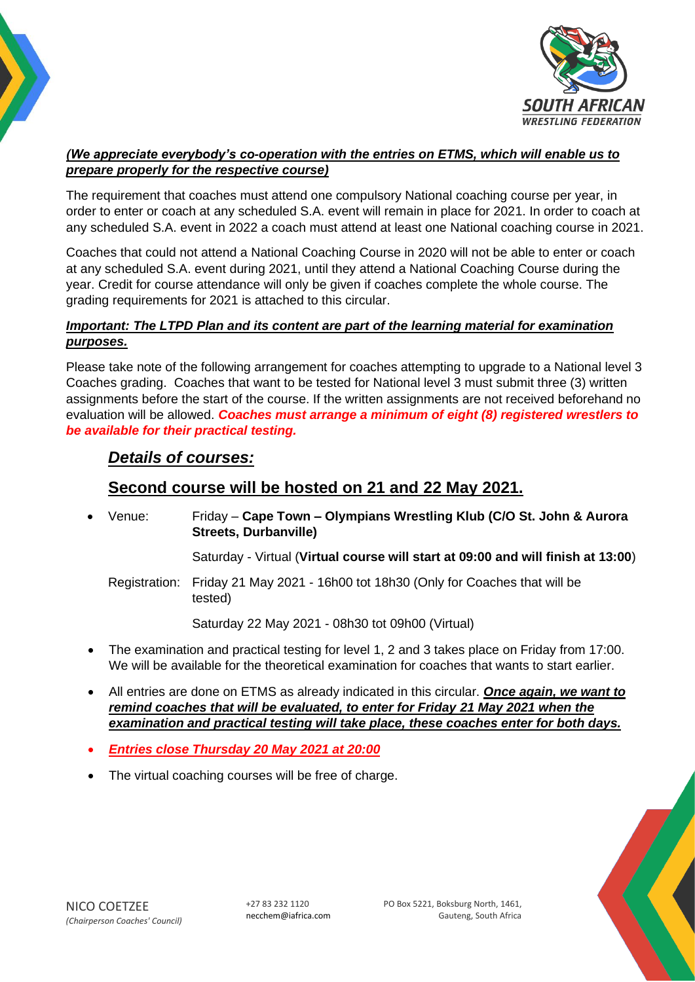

#### *(We appreciate everybody's co-operation with the entries on ETMS, which will enable us to prepare properly for the respective course)*

The requirement that coaches must attend one compulsory National coaching course per year, in order to enter or coach at any scheduled S.A. event will remain in place for 2021. In order to coach at any scheduled S.A. event in 2022 a coach must attend at least one National coaching course in 2021.

Coaches that could not attend a National Coaching Course in 2020 will not be able to enter or coach at any scheduled S.A. event during 2021, until they attend a National Coaching Course during the year. Credit for course attendance will only be given if coaches complete the whole course. The grading requirements for 2021 is attached to this circular.

### *Important: The LTPD Plan and its content are part of the learning material for examination purposes.*

Please take note of the following arrangement for coaches attempting to upgrade to a National level 3 Coaches grading. Coaches that want to be tested for National level 3 must submit three (3) written assignments before the start of the course. If the written assignments are not received beforehand no evaluation will be allowed. *Coaches must arrange a minimum of eight (8) registered wrestlers to be available for their practical testing.*

## *Details of courses:*

## **Second course will be hosted on 21 and 22 May 2021.**

• Venue: Friday – **Cape Town – Olympians Wrestling Klub (C/O St. John & Aurora Streets, Durbanville)** 

Saturday - Virtual (**Virtual course will start at 09:00 and will finish at 13:00**)

Registration: Friday 21 May 2021 - 16h00 tot 18h30 (Only for Coaches that will be tested)

Saturday 22 May 2021 - 08h30 tot 09h00 (Virtual)

- The examination and practical testing for level 1, 2 and 3 takes place on Friday from 17:00. We will be available for the theoretical examination for coaches that wants to start earlier.
- All entries are done on ETMS as already indicated in this circular. *Once again, we want to remind coaches that will be evaluated, to enter for Friday 21 May 2021 when the examination and practical testing will take place, these coaches enter for both days.*
- *Entries close Thursday 20 May 2021 at 20:00*
- The virtual coaching courses will be free of charge.